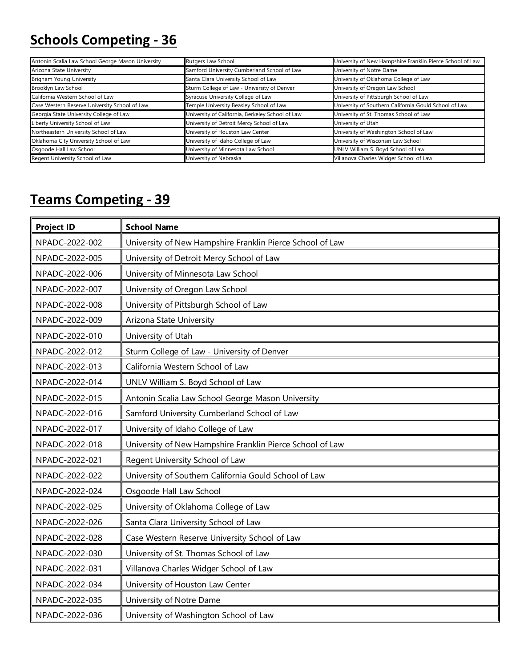## **Schools Competing - 36**

| Antonin Scalia Law School George Mason University | Rutgers Law School                               | University of New Hampshire Franklin Pierce School of Law |
|---------------------------------------------------|--------------------------------------------------|-----------------------------------------------------------|
| Arizona State University                          | Samford University Cumberland School of Law      | University of Notre Dame                                  |
| Brigham Young University                          | Santa Clara University School of Law             | University of Oklahoma College of Law                     |
| Brooklyn Law School                               | Sturm College of Law - University of Denver      | University of Oregon Law School                           |
| California Western School of Law                  | Syracuse University College of Law               | University of Pittsburgh School of Law                    |
| Case Western Reserve University School of Law     | Temple University Beasley School of Law          | University of Southern California Gould School of Law     |
| Georgia State University College of Law           | University of California, Berkeley School of Law | University of St. Thomas School of Law                    |
| Liberty University School of Law                  | University of Detroit Mercy School of Law        | University of Utah                                        |
| Northeastern University School of Law             | University of Houston Law Center                 | University of Washington School of Law                    |
| Oklahoma City University School of Law            | University of Idaho College of Law               | University of Wisconsin Law School                        |
| Osgoode Hall Law School                           | University of Minnesota Law School               | UNLV William S. Boyd School of Law                        |
| Regent University School of Law                   | University of Nebraska                           | Villanova Charles Widger School of Law                    |

## **Teams Competing - 39**

| <b>Project ID</b> | <b>School Name</b>                                        |
|-------------------|-----------------------------------------------------------|
| NPADC-2022-002    | University of New Hampshire Franklin Pierce School of Law |
| NPADC-2022-005    | University of Detroit Mercy School of Law                 |
| NPADC-2022-006    | University of Minnesota Law School                        |
| NPADC-2022-007    | University of Oregon Law School                           |
| NPADC-2022-008    | University of Pittsburgh School of Law                    |
| NPADC-2022-009    | Arizona State University                                  |
| NPADC-2022-010    | University of Utah                                        |
| NPADC-2022-012    | Sturm College of Law - University of Denver               |
| NPADC-2022-013    | California Western School of Law                          |
| NPADC-2022-014    | UNLV William S. Boyd School of Law                        |
| NPADC-2022-015    | Antonin Scalia Law School George Mason University         |
| NPADC-2022-016    | Samford University Cumberland School of Law               |
| NPADC-2022-017    | University of Idaho College of Law                        |
| NPADC-2022-018    | University of New Hampshire Franklin Pierce School of Law |
| NPADC-2022-021    | Regent University School of Law                           |
| NPADC-2022-022    | University of Southern California Gould School of Law     |
| NPADC-2022-024    | Osgoode Hall Law School                                   |
| NPADC-2022-025    | University of Oklahoma College of Law                     |
| NPADC-2022-026    | Santa Clara University School of Law                      |
| NPADC-2022-028    | Case Western Reserve University School of Law             |
| NPADC-2022-030    | University of St. Thomas School of Law                    |
| NPADC-2022-031    | Villanova Charles Widger School of Law                    |
| NPADC-2022-034    | University of Houston Law Center                          |
| NPADC-2022-035    | University of Notre Dame                                  |
| NPADC-2022-036    | University of Washington School of Law                    |